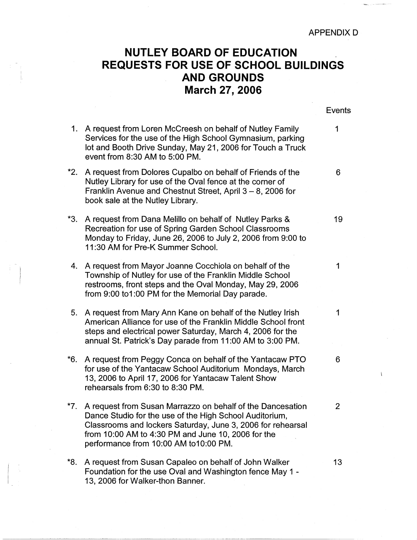APPENDIX D

Ï

## **NUTLEY BOARD OF EDUCATION REQUESTS FOR USE OF SCHOOL BUILDINGS AND GROUNDS March 27, 2006**

|     |                                                                                                                                                                                                                                                                                     | Events |
|-----|-------------------------------------------------------------------------------------------------------------------------------------------------------------------------------------------------------------------------------------------------------------------------------------|--------|
| 1.  | A request from Loren McCreesh on behalf of Nutley Family<br>Services for the use of the High School Gymnasium, parking<br>lot and Booth Drive Sunday, May 21, 2006 for Touch a Truck<br>event from 8:30 AM to 5:00 PM.                                                              | 1      |
| *2. | A request from Dolores Cupalbo on behalf of Friends of the<br>Nutley Library for use of the Oval fence at the corner of<br>Franklin Avenue and Chestnut Street, April $3 - 8$ , 2006 for<br>book sale at the Nutley Library.                                                        | 6      |
| *3. | A request from Dana Melillo on behalf of Nutley Parks &<br>Recreation for use of Spring Garden School Classrooms<br>Monday to Friday, June 26, 2006 to July 2, 2006 from 9:00 to<br>11:30 AM for Pre-K Summer School.                                                               | 19     |
| 4.  | A request from Mayor Joanne Cocchiola on behalf of the<br>Township of Nutley for use of the Franklin Middle School<br>restrooms, front steps and the Oval Monday, May 29, 2006<br>from 9:00 to1:00 PM for the Memorial Day parade.                                                  | 1      |
| 5.  | A request from Mary Ann Kane on behalf of the Nutley Irish<br>American Alliance for use of the Franklin Middle School front<br>steps and electrical power Saturday, March 4, 2006 for the<br>annual St. Patrick's Day parade from 11:00 AM to 3:00 PM.                              | 1      |
| *6. | A request from Peggy Conca on behalf of the Yantacaw PTO<br>for use of the Yantacaw School Auditorium Mondays, March<br>13, 2006 to April 17, 2006 for Yantacaw Talent Show<br>rehearsals from 6:30 to 8:30 PM.                                                                     | 6      |
| *7. | A request from Susan Marrazzo on behalf of the Dancesation<br>Dance Studio for the use of the High School Auditorium,<br>Classrooms and lockers Saturday, June 3, 2006 for rehearsal<br>from 10:00 AM to 4:30 PM and June 10, 2006 for the<br>performance from 10:00 AM to10:00 PM. | 2      |
| *8. | A request from Susan Capaleo on behalf of John Walker<br>Foundation for the use Oval and Washington fence May 1 -<br>13, 2006 for Walker-thon Banner.                                                                                                                               | 13     |

I